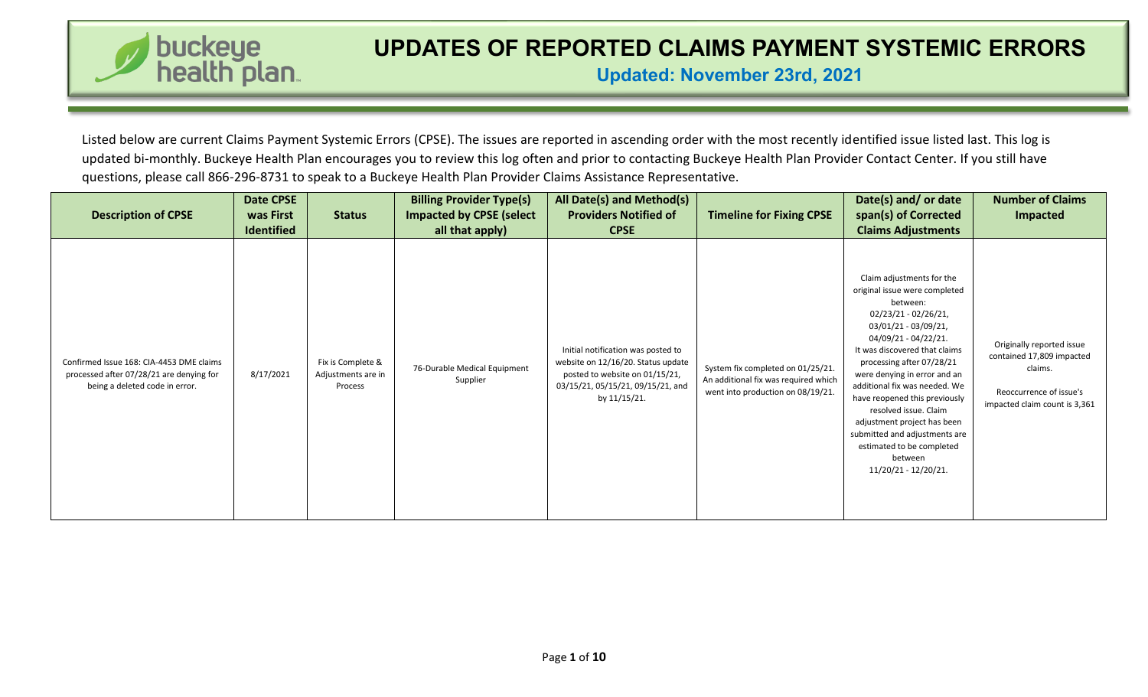

**Updated: November 23rd, 2021**

Listed below are current Claims Payment Systemic Errors (CPSE). The issues are reported in ascending order with the most recently identified issue listed last. This log is updated bi-monthly. Buckeye Health Plan encourages you to review this log often and prior to contacting Buckeye Health Plan Provider Contact Center. If you still have questions, please call 866-296-8731 to speak to a Buckeye Health Plan Provider Claims Assistance Representative.

| <b>Description of CPSE</b>                                                                                             | Date CPSE<br>was First<br><b>Identified</b> | <b>Status</b>                                      | <b>Billing Provider Type(s)</b><br><b>Impacted by CPSE (select</b><br>all that apply) | All Date(s) and Method(s)<br><b>Providers Notified of</b><br><b>CPSE</b>                                                                                        | <b>Timeline for Fixing CPSE</b>                                                                                | Date(s) and/ or date<br>span(s) of Corrected<br><b>Claims Adjustments</b>                                                                                                                                                                                                                                                                                                                                                                                               | <b>Number of Claims</b><br><b>Impacted</b>                                                                                    |
|------------------------------------------------------------------------------------------------------------------------|---------------------------------------------|----------------------------------------------------|---------------------------------------------------------------------------------------|-----------------------------------------------------------------------------------------------------------------------------------------------------------------|----------------------------------------------------------------------------------------------------------------|-------------------------------------------------------------------------------------------------------------------------------------------------------------------------------------------------------------------------------------------------------------------------------------------------------------------------------------------------------------------------------------------------------------------------------------------------------------------------|-------------------------------------------------------------------------------------------------------------------------------|
| Confirmed Issue 168: CIA-4453 DME claims<br>processed after 07/28/21 are denying for<br>being a deleted code in error. | 8/17/2021                                   | Fix is Complete &<br>Adjustments are in<br>Process | 76-Durable Medical Equipment<br>Supplier                                              | Initial notification was posted to<br>website on 12/16/20. Status update<br>posted to website on 01/15/21,<br>03/15/21, 05/15/21, 09/15/21, and<br>by 11/15/21. | System fix completed on 01/25/21.<br>An additional fix was required which<br>went into production on 08/19/21. | Claim adjustments for the<br>original issue were completed<br>between:<br>02/23/21 - 02/26/21,<br>03/01/21 - 03/09/21,<br>04/09/21 - 04/22/21.<br>It was discovered that claims<br>processing after 07/28/21<br>were denying in error and an<br>additional fix was needed. We<br>have reopened this previously<br>resolved issue. Claim<br>adjustment project has been<br>submitted and adjustments are<br>estimated to be completed<br>between<br>11/20/21 - 12/20/21. | Originally reported issue<br>contained 17,809 impacted<br>claims.<br>Reoccurrence of issue's<br>impacted claim count is 3,361 |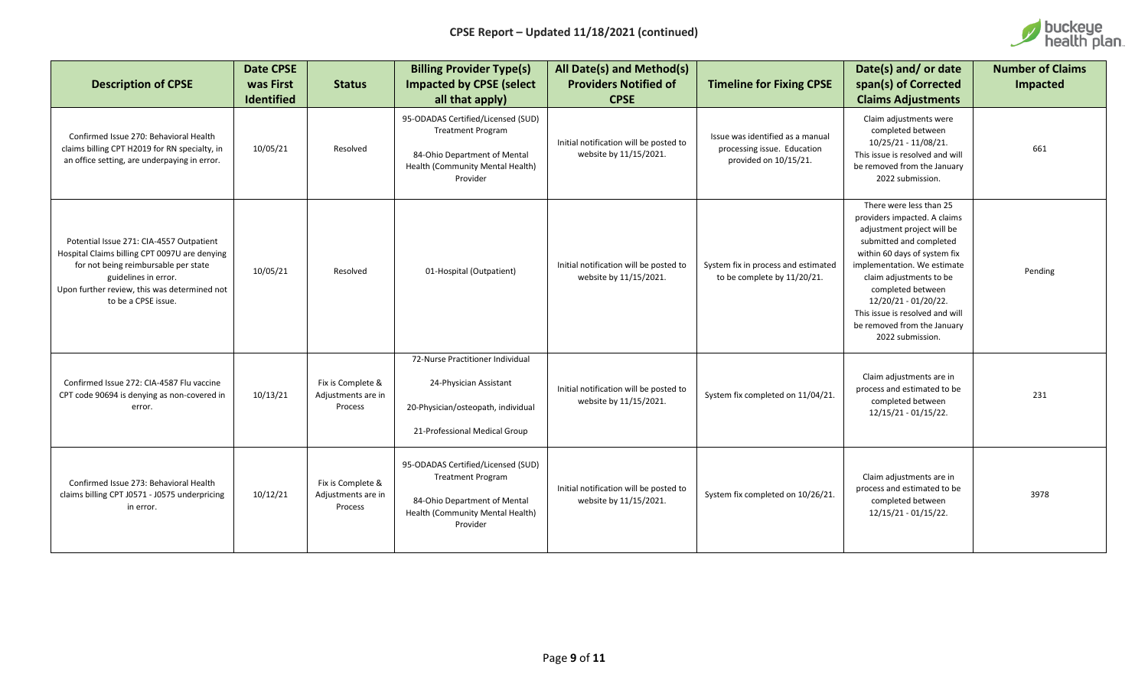

| <b>Description of CPSE</b>                                                                                                                                                                                                       | <b>Date CPSE</b><br>was First<br><b>Identified</b> | <b>Status</b>                                      | <b>Billing Provider Type(s)</b><br><b>Impacted by CPSE (select</b><br>all that apply)                                                          | All Date(s) and Method(s)<br><b>Providers Notified of</b><br><b>CPSE</b> | <b>Timeline for Fixing CPSE</b>                                                          | Date(s) and/ or date<br>span(s) of Corrected<br><b>Claims Adjustments</b>                                                                                                                                                                                                                                                                     | <b>Number of Claims</b><br>Impacted |
|----------------------------------------------------------------------------------------------------------------------------------------------------------------------------------------------------------------------------------|----------------------------------------------------|----------------------------------------------------|------------------------------------------------------------------------------------------------------------------------------------------------|--------------------------------------------------------------------------|------------------------------------------------------------------------------------------|-----------------------------------------------------------------------------------------------------------------------------------------------------------------------------------------------------------------------------------------------------------------------------------------------------------------------------------------------|-------------------------------------|
| Confirmed Issue 270: Behavioral Health<br>claims billing CPT H2019 for RN specialty, in<br>an office setting, are underpaying in error.                                                                                          | 10/05/21                                           | Resolved                                           | 95-ODADAS Certified/Licensed (SUD)<br><b>Treatment Program</b><br>84-Ohio Department of Mental<br>Health (Community Mental Health)<br>Provider | Initial notification will be posted to<br>website by 11/15/2021.         | Issue was identified as a manual<br>processing issue. Education<br>provided on 10/15/21. | Claim adjustments were<br>completed between<br>10/25/21 - 11/08/21.<br>This issue is resolved and will<br>be removed from the January<br>2022 submission.                                                                                                                                                                                     | 661                                 |
| Potential Issue 271: CIA-4557 Outpatient<br>Hospital Claims billing CPT 0097U are denying<br>for not being reimbursable per state<br>guidelines in error.<br>Upon further review, this was determined not<br>to be a CPSE issue. | 10/05/21                                           | Resolved                                           | 01-Hospital (Outpatient)                                                                                                                       | Initial notification will be posted to<br>website by 11/15/2021.         | System fix in process and estimated<br>to be complete by 11/20/21.                       | There were less than 25<br>providers impacted. A claims<br>adjustment project will be<br>submitted and completed<br>within 60 days of system fix<br>implementation. We estimate<br>claim adjustments to be<br>completed between<br>12/20/21 - 01/20/22.<br>This issue is resolved and will<br>be removed from the January<br>2022 submission. | Pending                             |
| Confirmed Issue 272: CIA-4587 Flu vaccine<br>CPT code 90694 is denying as non-covered in<br>error.                                                                                                                               | 10/13/21                                           | Fix is Complete &<br>Adjustments are in<br>Process | 72-Nurse Practitioner Individual<br>24-Physician Assistant<br>20-Physician/osteopath, individual<br>21-Professional Medical Group              | Initial notification will be posted to<br>website by 11/15/2021.         | System fix completed on 11/04/21.                                                        | Claim adjustments are in<br>process and estimated to be<br>completed between<br>12/15/21 - 01/15/22.                                                                                                                                                                                                                                          | 231                                 |
| Confirmed Issue 273: Behavioral Health<br>claims billing CPT J0571 - J0575 underpricing<br>in error.                                                                                                                             | 10/12/21                                           | Fix is Complete &<br>Adjustments are in<br>Process | 95-ODADAS Certified/Licensed (SUD)<br><b>Treatment Program</b><br>84-Ohio Department of Mental<br>Health (Community Mental Health)<br>Provider | Initial notification will be posted to<br>website by 11/15/2021.         | System fix completed on 10/26/21.                                                        | Claim adjustments are in<br>process and estimated to be<br>completed between<br>12/15/21 - 01/15/22.                                                                                                                                                                                                                                          | 3978                                |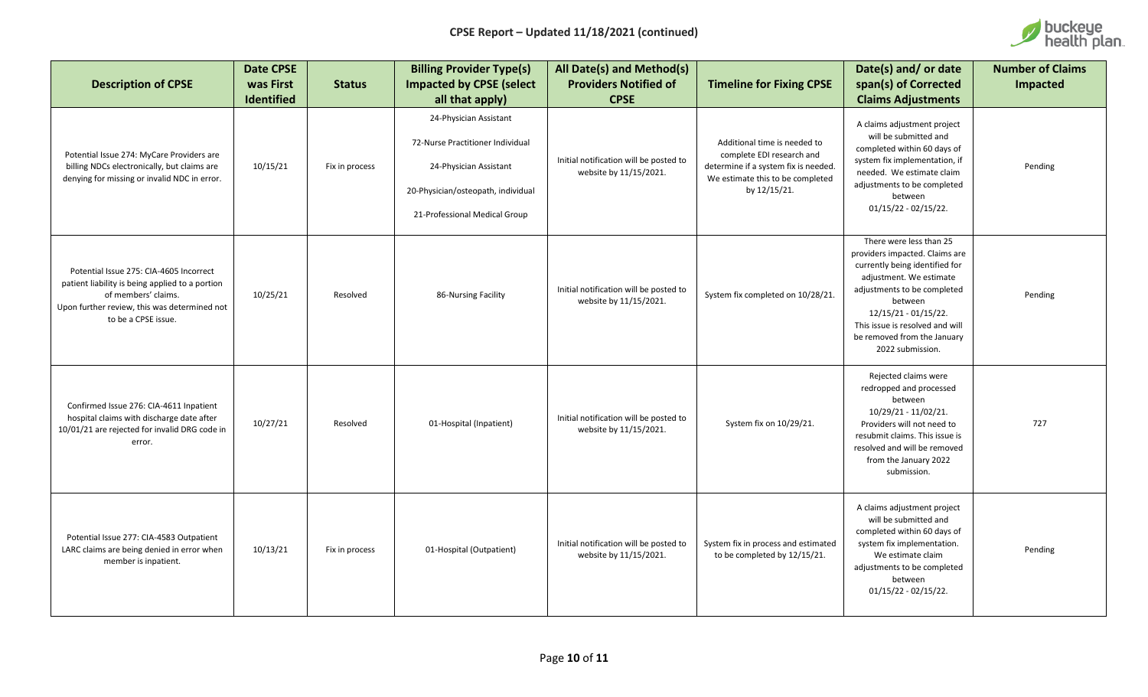

| <b>Description of CPSE</b>                                                                                                                                                               | <b>Date CPSE</b><br>was First<br>Identified | <b>Status</b>  | <b>Billing Provider Type(s)</b><br><b>Impacted by CPSE (select</b><br>all that apply)                                                                       | All Date(s) and Method(s)<br><b>Providers Notified of</b><br><b>CPSE</b> | <b>Timeline for Fixing CPSE</b>                                                                                                                       | Date(s) and/ or date<br>span(s) of Corrected<br><b>Claims Adjustments</b>                                                                                                                                                                                                      | <b>Number of Claims</b><br>Impacted |
|------------------------------------------------------------------------------------------------------------------------------------------------------------------------------------------|---------------------------------------------|----------------|-------------------------------------------------------------------------------------------------------------------------------------------------------------|--------------------------------------------------------------------------|-------------------------------------------------------------------------------------------------------------------------------------------------------|--------------------------------------------------------------------------------------------------------------------------------------------------------------------------------------------------------------------------------------------------------------------------------|-------------------------------------|
| Potential Issue 274: MyCare Providers are<br>billing NDCs electronically, but claims are<br>denying for missing or invalid NDC in error.                                                 | 10/15/21                                    | Fix in process | 24-Physician Assistant<br>72-Nurse Practitioner Individual<br>24-Physician Assistant<br>20-Physician/osteopath, individual<br>21-Professional Medical Group | Initial notification will be posted to<br>website by 11/15/2021.         | Additional time is needed to<br>complete EDI research and<br>determine if a system fix is needed.<br>We estimate this to be completed<br>by 12/15/21. | A claims adjustment project<br>will be submitted and<br>completed within 60 days of<br>system fix implementation, if<br>needed. We estimate claim<br>adjustments to be completed<br>between<br>$01/15/22 - 02/15/22$ .                                                         | Pending                             |
| Potential Issue 275: CIA-4605 Incorrect<br>patient liability is being applied to a portion<br>of members' claims.<br>Upon further review, this was determined not<br>to be a CPSE issue. | 10/25/21                                    | Resolved       | 86-Nursing Facility                                                                                                                                         | Initial notification will be posted to<br>website by 11/15/2021.         | System fix completed on 10/28/21.                                                                                                                     | There were less than 25<br>providers impacted. Claims are<br>currently being identified for<br>adjustment. We estimate<br>adjustments to be completed<br>between<br>12/15/21 - 01/15/22.<br>This issue is resolved and will<br>be removed from the January<br>2022 submission. | Pending                             |
| Confirmed Issue 276: CIA-4611 Inpatient<br>hospital claims with discharge date after<br>10/01/21 are rejected for invalid DRG code in<br>error.                                          | 10/27/21                                    | Resolved       | 01-Hospital (Inpatient)                                                                                                                                     | Initial notification will be posted to<br>website by 11/15/2021.         | System fix on 10/29/21.                                                                                                                               | Rejected claims were<br>redropped and processed<br>between<br>10/29/21 - 11/02/21.<br>Providers will not need to<br>resubmit claims. This issue is<br>resolved and will be removed<br>from the January 2022<br>submission.                                                     | 727                                 |
| Potential Issue 277: CIA-4583 Outpatient<br>LARC claims are being denied in error when<br>member is inpatient.                                                                           | 10/13/21                                    | Fix in process | 01-Hospital (Outpatient)                                                                                                                                    | Initial notification will be posted to<br>website by 11/15/2021.         | System fix in process and estimated<br>to be completed by 12/15/21.                                                                                   | A claims adjustment project<br>will be submitted and<br>completed within 60 days of<br>system fix implementation.<br>We estimate claim<br>adjustments to be completed<br>between<br>$01/15/22 - 02/15/22$ .                                                                    | Pending                             |